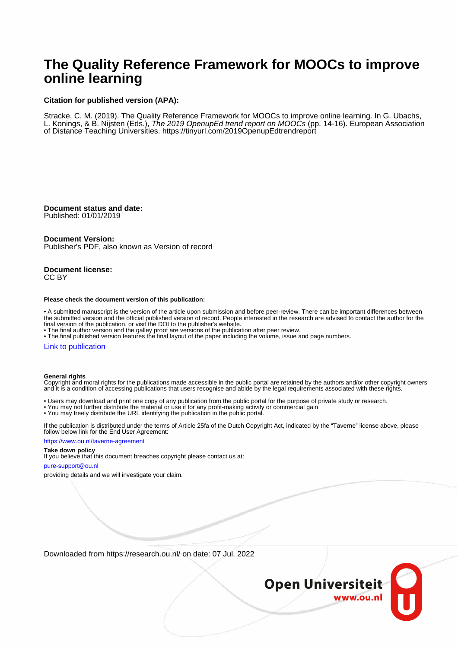## **The Quality Reference Framework for MOOCs to improve online learning**

### **Citation for published version (APA):**

Stracke, C. M. (2019). The Quality Reference Framework for MOOCs to improve online learning. In G. Ubachs, L. Konings, & B. Nijsten (Eds.), *The 2019 OpenupEd trend report on MOOCs* (pp. 14-16). European Association of Distance Teaching Universities. <https://tinyurl.com/2019OpenupEdtrendreport>

### **Document status and date:**

Published: 01/01/2019

### **Document Version:**

Publisher's PDF, also known as Version of record

#### **Document license:** CC BY

### **Please check the document version of this publication:**

• A submitted manuscript is the version of the article upon submission and before peer-review. There can be important differences between the submitted version and the official published version of record. People interested in the research are advised to contact the author for the final version of the publication, or visit the DOI to the publisher's website.

• The final author version and the galley proof are versions of the publication after peer review.

• The final published version features the final layout of the paper including the volume, issue and page numbers.

### [Link to publication](https://research.ou.nl/en/publications/ca3878bc-5787-4a85-b8e0-718d78b71e7d)

### **General rights**

Copyright and moral rights for the publications made accessible in the public portal are retained by the authors and/or other copyright owners and it is a condition of accessing publications that users recognise and abide by the legal requirements associated with these rights.

- Users may download and print one copy of any publication from the public portal for the purpose of private study or research.
- You may not further distribute the material or use it for any profit-making activity or commercial gain
- You may freely distribute the URL identifying the publication in the public portal.

If the publication is distributed under the terms of Article 25fa of the Dutch Copyright Act, indicated by the "Taverne" license above, please follow below link for the End User Agreement:

#### https://www.ou.nl/taverne-agreement

### **Take down policy**

If you believe that this document breaches copyright please contact us at:

### pure-support@ou.nl

providing details and we will investigate your claim.

Downloaded from https://research.ou.nl/ on date: 07 Jul. 2022

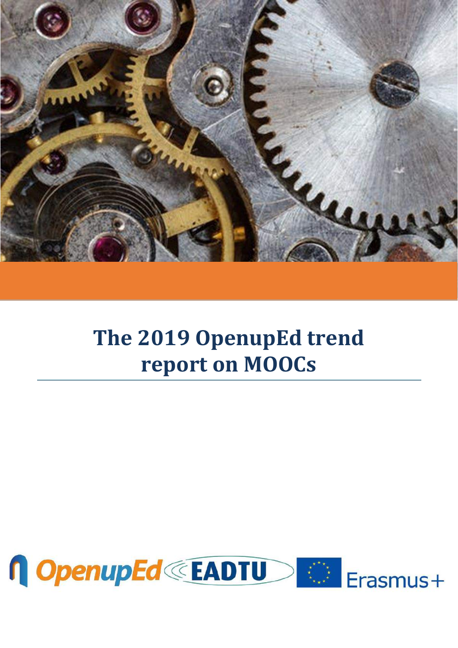

# **The 2019 OpenupEd trend report on MOOCs**

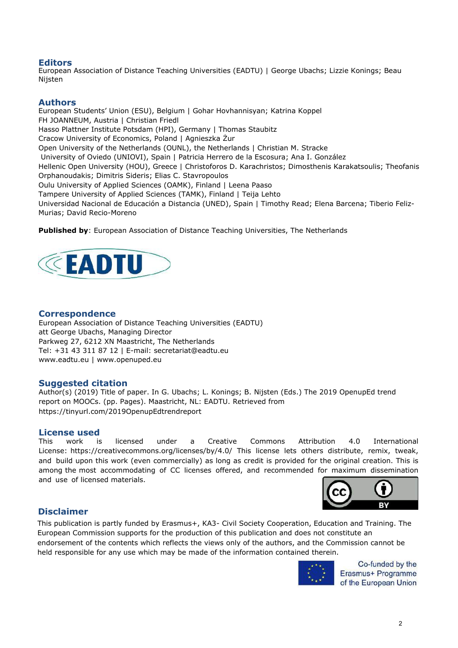### **Editors**

European Association of Distance Teaching Universities (EADTU) | George Ubachs; Lizzie Konings; Beau Nijsten

### **Authors**

European Students' Union (ESU), Belgium | Gohar Hovhannisyan; Katrina Koppel FH JOANNEUM, Austria | Christian Friedl Hasso Plattner Institute Potsdam (HPI), Germany | Thomas Staubitz Cracow University of Economics, Poland | Agnieszka Żur Open University of the Netherlands (OUNL), the Netherlands | Christian M. Stracke University of Oviedo (UNIOVI), Spain | Patricia Herrero de la Escosura; Ana I. González Hellenic Open University (HOU), Greece | Christoforos D. Karachristos; Dimosthenis Karakatsoulis; Theofanis Orphanoudakis; Dimitris Sideris; Elias C. Stavropoulos Oulu University of Applied Sciences (OAMK), Finland | Leena Paaso Tampere University of Applied Sciences (TAMK), Finland | Teija Lehto Universidad Nacional de Educación a Distancia (UNED), Spain | Timothy Read; Elena Barcena; Tiberio Feliz-Murias; David Recio-Moreno

**Published by**: European Association of Distance Teaching Universities, The Netherlands



### **Correspondence**

European Association of Distance Teaching Universities (EADTU) att George Ubachs, Managing Director Parkweg 27, 6212 XN Maastricht, The Netherlands Tel: +31 43 311 87 12 | E-mail: secretariat@eadtu.eu www.eadtu.eu | www.openuped.eu

### **Suggested citation**

Author(s) (2019) Title of paper. In G. Ubachs; L. Konings; B. Nijsten (Eds.) The 2019 OpenupEd trend report on MOOCs. (pp. Pages). Maastricht, NL: EADTU. Retrieved from https://tinyurl.com/2019OpenupEdtrendreport

## **License used**<br>This work is

This work is licensed under a Creative Commons Attribution 4.0 International License: https://creativecommons.org/licenses/by/4.0/ This license lets others distribute, remix, tweak, and build upon this work (even commercially) as long as credit is provided for the original creation. This is among the most accommodating of CC licenses offered, and recommended for maximum dissemination and use of licensed materials.



### **Disclaimer**

This publication is partly funded by Erasmus+, KA3- Civil Society Cooperation, Education and Training. The European Commission supports for the production of this publication and does not constitute an endorsement of the contents which reflects the views only of the authors, and the Commission cannot be held responsible for any use which may be made of the information contained therein.



Co-funded by the Erasmus+ Programme of the European Union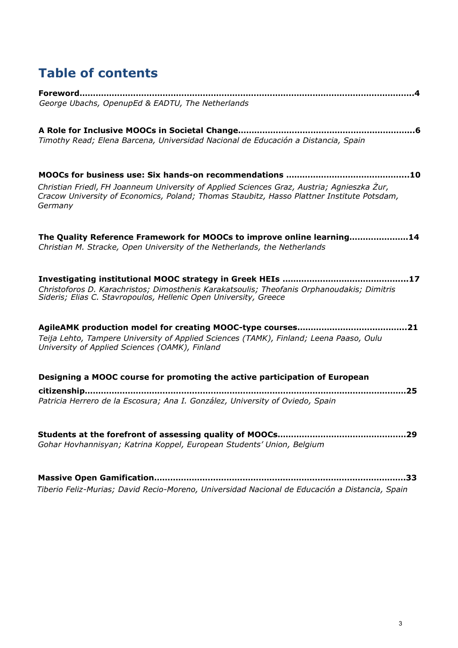## **Table of contents**

| George Ubachs, OpenupEd & EADTU, The Netherlands                                                                                                                                                                                |
|---------------------------------------------------------------------------------------------------------------------------------------------------------------------------------------------------------------------------------|
| . 6<br>Timothy Read; Elena Barcena, Universidad Nacional de Educación a Distancia, Spain                                                                                                                                        |
| Christian Friedl, FH Joanneum University of Applied Sciences Graz, Austria; Agnieszka Żur,<br>Cracow University of Economics, Poland; Thomas Staubitz, Hasso Plattner Institute Potsdam,<br>Germany                             |
| The Quality Reference Framework for MOOCs to improve online learning14<br>Christian M. Stracke, Open University of the Netherlands, the Netherlands                                                                             |
| Investigating institutional MOOC strategy in Greek HEIs<br>17<br>Christoforos D. Karachristos; Dimosthenis Karakatsoulis; Theofanis Orphanoudakis; Dimitris<br>Sideris; Elias C. Stavropoulos, Hellenic Open University, Greece |
| Teija Lehto, Tampere University of Applied Sciences (TAMK), Finland; Leena Paaso, Oulu<br>University of Applied Sciences (OAMK), Finland                                                                                        |
| Designing a MOOC course for promoting the active participation of European<br>25<br>citizenship<br>Patricia Herrero de la Escosura; Ana I. González, University of Oviedo, Spain                                                |
| .29<br>Gohar Hovhannisyan; Katrina Koppel, European Students' Union, Belgium                                                                                                                                                    |
|                                                                                                                                                                                                                                 |

**Massive Open Gamification………………………………………………………………………………….33** *Tiberio Feliz-Murias; David Recio-Moreno, Universidad Nacional de Educación a Distancia, Spain*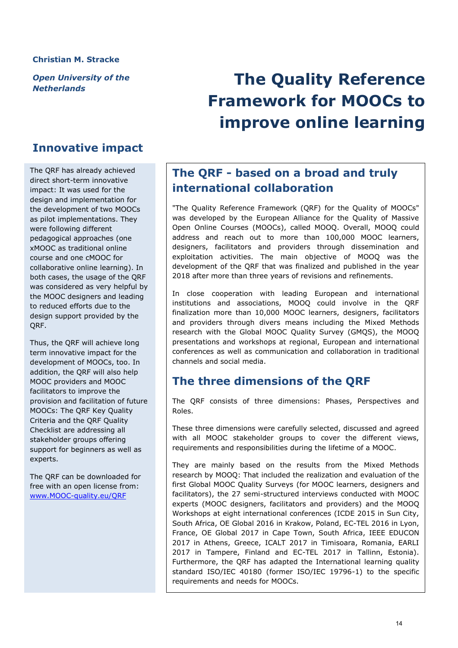### <span id="page-4-0"></span>**Christian M. Stracke**

*Open University of the Netherlands*

## **The Quality Reference Framework for MOOCs to improve online learning**

## **Innovative impact**

The QRF has already achieved direct short-term innovative impact: It was used for the design and implementation for the development of two MOOCs as pilot implementations. They were following different pedagogical approaches (one xMOOC as traditional online course and one cMOOC for collaborative online learning). In both cases, the usage of the QRF was considered as very helpful by the MOOC designers and leading to reduced efforts due to the design support provided by the QRF.

Thus, the QRF will achieve long term innovative impact for the development of MOOCs, too. In addition, the QRF will also help MOOC providers and MOOC facilitators to improve the provision and facilitation of future MOOCs: The QRF Key Quality Criteria and the QRF Quality Checklist are addressing all stakeholder groups offering support for beginners as well as experts.

The QRF can be downloaded for free with an open license from: [www.MOOC-quality.eu/QRF](http://www.mooc-quality.eu/QRF)

## **The QRF - based on a broad and truly international collaboration**

"The Quality Reference Framework (QRF) for the Quality of MOOCs" was developed by the European Alliance for the Quality of Massive Open Online Courses (MOOCs), called MOOQ. Overall, MOOQ could address and reach out to more than 100,000 MOOC learners, designers, facilitators and providers through dissemination and exploitation activities. The main objective of MOOQ was the development of the QRF that was finalized and published in the year 2018 after more than three years of revisions and refinements.

In close cooperation with leading European and international institutions and associations, MOOQ could involve in the QRF finalization more than 10,000 MOOC learners, designers, facilitators and providers through divers means including the Mixed Methods research with the Global MOOC Quality Survey (GMQS), the MOOQ presentations and workshops at regional, European and international conferences as well as communication and collaboration in traditional channels and social media.

## **The three dimensions of the QRF**

The QRF consists of three dimensions: Phases, Perspectives and Roles.

These three dimensions were carefully selected, discussed and agreed with all MOOC stakeholder groups to cover the different views, requirements and responsibilities during the lifetime of a MOOC.

They are mainly based on the results from the Mixed Methods research by MOOQ: That included the realization and evaluation of the first Global MOOC Quality Surveys (for MOOC learners, designers and facilitators), the 27 semi-structured interviews conducted with MOOC experts (MOOC designers, facilitators and providers) and the MOOQ Workshops at eight international conferences (ICDE 2015 in Sun City, South Africa, OE Global 2016 in Krakow, Poland, EC-TEL 2016 in Lyon, France, OE Global 2017 in Cape Town, South Africa, IEEE EDUCON 2017 in Athens, Greece, ICALT 2017 in Timisoara, Romania, EARLI 2017 in Tampere, Finland and EC-TEL 2017 in Tallinn, Estonia). Furthermore, the QRF has adapted the International learning quality standard ISO/IEC 40180 (former ISO/IEC 19796-1) to the specific requirements and needs for MOOCs.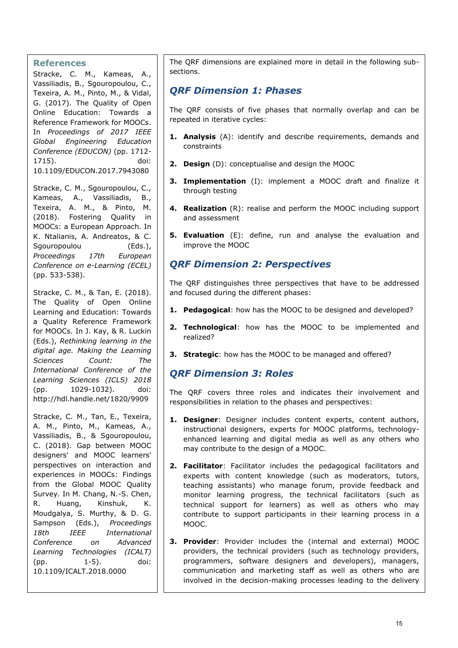### **References**

Stracke, C. M., Kameas, A., Vassiliadis, B., Sgouropoulou, C., Texeira, A. M., Pinto, M., & Vidal, G. (2017). The Quality of Open Online Education: Towards a Reference Framework for MOOCs. In *Proceedings of 2017 IEEE Global Engineering Education Conference (EDUCON)* (pp. 1712- 1715). doi: 10.1109/EDUCON.2017.7943080

Stracke, C. M., Sgouropoulou, C., Kameas, A., Vassiliadis, B., Texeira, A. M., & Pinto, M. (2018). Fostering Quality in MOOCs: a European Approach. In K. Ntalianis, A. Andreatos, & C. Sgouropoulou (Eds.), *Proceedings 17th European Conference on e-Learning (ECEL)* (pp. 533-538).

Stracke, C. M., & Tan, E. (2018). The Quality of Open Online Learning and Education: Towards a Quality Reference Framework for MOOCs. In J. Kay, & R. Luckin (Eds.), *Rethinking learning in the digital age. Making the Learning Sciences Count: The International Conference of the Learning Sciences (ICLS) 2018* (pp. 1029-1032). doi: http://hdl.handle.net/1820/9909

Stracke, C. M., Tan, E., Texeira, A. M., Pinto, M., Kameas, A., Vassiliadis, B., & Sgouropoulou, C. (2018). Gap between MOOC designers' and MOOC learners' perspectives on interaction and experiences in MOOCs: Findings from the Global MOOC Quality Survey. In M. Chang, N.-S. Chen, R. Huang, Kinshuk, K. Moudgalya, S. Murthy, & D. G. Sampson (Eds.), *Proceedings 18th IEEE International Conference on Advanced Learning Technologies (ICALT)* (pp. 1-5). doi: 10.1109/ICALT.2018.0000

The QRF dimensions are explained more in detail in the following subsections.

### *QRF Dimension 1: Phases*

The QRF consists of five phases that normally overlap and can be repeated in iterative cycles:

- **1. Analysis** (A): identify and describe requirements, demands and constraints
- **2. Design** (D): conceptualise and design the MOOC
- **3. Implementation** (I): implement a MOOC draft and finalize it through testing
- **4. Realization** (R): realise and perform the MOOC including support and assessment
- **5. Evaluation** (E): define, run and analyse the evaluation and improve the MOOC

### *QRF Dimension 2: Perspectives*

The QRF distinguishes three perspectives that have to be addressed and focused during the different phases:

- **1. Pedagogical**: how has the MOOC to be designed and developed?
- **2. Technological**: how has the MOOC to be implemented and realized?
- **3. Strategic**: how has the MOOC to be managed and offered?

## *QRF Dimension 3: Roles*

The QRF covers three roles and indicates their involvement and responsibilities in relation to the phases and perspectives:

- **1. Designer**: Designer includes content experts, content authors, instructional designers, experts for MOOC platforms, technologyenhanced learning and digital media as well as any others who may contribute to the design of a MOOC.
- **2. Facilitator**: Facilitator includes the pedagogical facilitators and experts with content knowledge (such as moderators, tutors, teaching assistants) who manage forum, provide feedback and monitor learning progress, the technical facilitators (such as technical support for learners) as well as others who may contribute to support participants in their learning process in a MOOC.
- **3. Provider**: Provider includes the (internal and external) MOOC providers, the technical providers (such as technology providers, programmers, software designers and developers), managers, communication and marketing staff as well as others who are involved in the decision-making processes leading to the delivery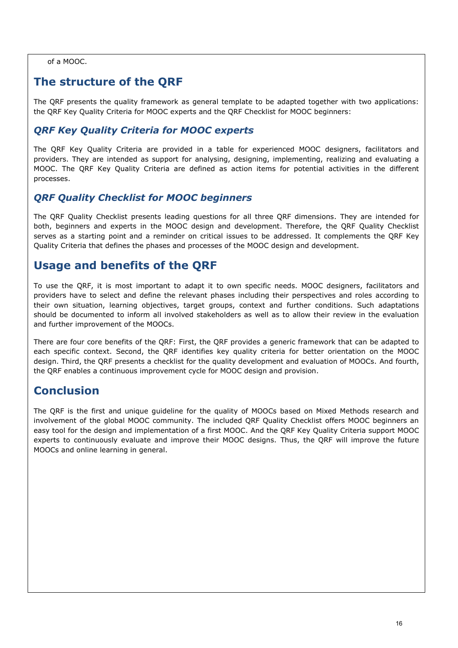of a MOOC.

## **The structure of the QRF**

The QRF presents the quality framework as general template to be adapted together with two applications: the QRF Key Quality Criteria for MOOC experts and the QRF Checklist for MOOC beginners:

## *QRF Key Quality Criteria for MOOC experts*

The QRF Key Quality Criteria are provided in a table for experienced MOOC designers, facilitators and providers. They are intended as support for analysing, designing, implementing, realizing and evaluating a MOOC. The QRF Key Quality Criteria are defined as action items for potential activities in the different processes.

## *QRF Quality Checklist for MOOC beginners*

The QRF Quality Checklist presents leading questions for all three QRF dimensions. They are intended for both, beginners and experts in the MOOC design and development. Therefore, the QRF Quality Checklist serves as a starting point and a reminder on critical issues to be addressed. It complements the QRF Key Quality Criteria that defines the phases and processes of the MOOC design and development.

## **Usage and benefits of the QRF**

To use the QRF, it is most important to adapt it to own specific needs. MOOC designers, facilitators and providers have to select and define the relevant phases including their perspectives and roles according to their own situation, learning objectives, target groups, context and further conditions. Such adaptations should be documented to inform all involved stakeholders as well as to allow their review in the evaluation and further improvement of the MOOCs.

There are four core benefits of the QRF: First, the QRF provides a generic framework that can be adapted to each specific context. Second, the QRF identifies key quality criteria for better orientation on the MOOC design. Third, the QRF presents a checklist for the quality development and evaluation of MOOCs. And fourth, the QRF enables a continuous improvement cycle for MOOC design and provision.

## **Conclusion**

The QRF is the first and unique guideline for the quality of MOOCs based on Mixed Methods research and involvement of the global MOOC community. The included QRF Quality Checklist offers MOOC beginners an easy tool for the design and implementation of a first MOOC. And the QRF Key Quality Criteria support MOOC experts to continuously evaluate and improve their MOOC designs. Thus, the QRF will improve the future MOOCs and online learning in general.